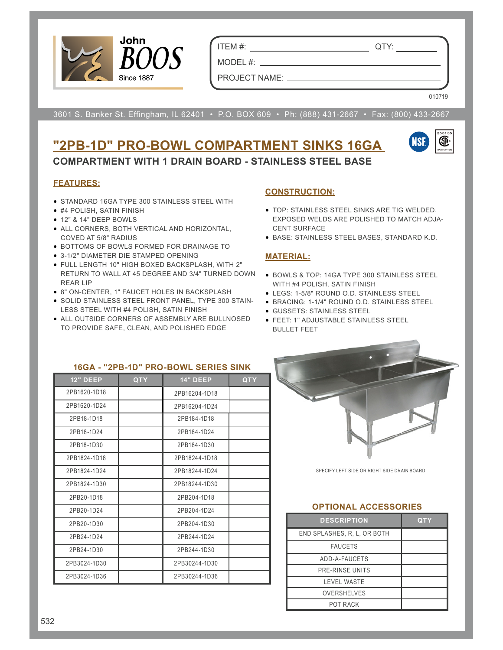

ITEM #: QTY:

PROJECT NAME:

MODEL#: \_\_

010719

3601 S. Banker St. Effingham, IL 62401 • P.O. BOX 609 • Ph: (888) 431-2667 • Fax: (800) 433-2667

# **"2PB-1D" PRO-BOWL COMPARTMENT SINKS 16GA COMPARTMENT WITH 1 DRAIN BOARD - STAINLESS STEEL BASE**



#### **FEATURES:**

- STANDARD 16GA TYPE 300 STAINLESS STEEL WITH
- #4 POLISH, SATIN FINISH
- 12" & 14" DEEP BOWLS
- ALL CORNERS, BOTH VERTICAL AND HORIZONTAL, COVED AT 5/8" RADIUS
- BOTTOMS OF BOWLS FORMED FOR DRAINAGE TO
- 3-1/2" DIAMETER DIE STAMPED OPENING
- FULL LENGTH 10" HIGH BOXED BACKSPLASH, WITH 2" RETURN TO WALL AT 45 DEGREE AND 3/4" TURNED DOWN • BOWLS & TOP: 14GA TYPE 300 STAINLESS STEEL REAR LIP
- 8" ON-CENTER, 1" FAUCET HOLES IN BACKSPLASH
- SOLID STAINLESS STEEL FRONT PANEL, TYPE 300 STAIN-LESS STEEL WITH #4 POLISH, SATIN FINISH
- ALL OUTSIDE CORNERS OF ASSEMBLY ARE BULLNOSED TO PROVIDE SAFE, CLEAN, AND POLISHED EDGE

## **CONSTRUCTION:**

- TOP: STAINLESS STEEL SINKS ARE TIG WELDED, EXPOSED WELDS ARE POLISHED TO MATCH ADJA-CENT SURFACE
- BASE: STAINLESS STEEL BASES, STANDARD K.D.

### **MATERIAL:**

- WITH #4 POLISH, SATIN FINISH
- LEGS: 1-5/8" ROUND O.D. STAINLESS STEEL
- BRACING: 1-1/4" ROUND O.D. STAINLESS STEEL
- GUSSETS: STAINLESS STEEL
- FEET: 1" ADJUSTABLE STAINLESS STEEL BULLET FEET

| 16GA - "2PB-1D" PRO-BOWL SERIES SINK |            |                 |            |  |  |  |  |  |  |
|--------------------------------------|------------|-----------------|------------|--|--|--|--|--|--|
| <b>12" DEEP</b>                      | <b>QTY</b> | <b>14" DEEP</b> | <b>QTY</b> |  |  |  |  |  |  |
| 2PB1620-1D18                         |            | 2PB16204-1D18   |            |  |  |  |  |  |  |
| 2PB1620-1D24                         |            | 2PB16204-1D24   |            |  |  |  |  |  |  |
| 2PB18-1D18                           |            | 2PB184-1D18     |            |  |  |  |  |  |  |
| 2PB18-1D24                           |            | 2PB184-1D24     |            |  |  |  |  |  |  |
| 2PB18-1D30                           |            | 2PB184-1D30     |            |  |  |  |  |  |  |
| 2PB1824-1D18                         |            | 2PB18244-1D18   |            |  |  |  |  |  |  |
| 2PB1824-1D24                         |            | 2PB18244-1D24   |            |  |  |  |  |  |  |
| 2PB1824-1D30                         |            | 2PB18244-1D30   |            |  |  |  |  |  |  |
| 2PB20-1D18                           |            | 2PB204-1D18     |            |  |  |  |  |  |  |
| 2PB20-1D24                           |            | 2PB204-1D24     |            |  |  |  |  |  |  |
| 2PB20-1D30                           |            | 2PB204-1D30     |            |  |  |  |  |  |  |
| 2PB24-1D24                           |            | 2PB244-1D24     |            |  |  |  |  |  |  |
| 2PB24-1D30                           |            | 2PB244-1D30     |            |  |  |  |  |  |  |
| 2PB3024-1D30                         |            | 2PB30244-1D30   |            |  |  |  |  |  |  |
| 2PB3024-1D36                         |            | 2PB30244-1D36   |            |  |  |  |  |  |  |



SPECIFY LEFT SIDE OR RIGHT SIDE DRAIN BOARD

#### **OPTIONAL ACCESSORIES**

| <b>DESCRIPTION</b>          | QTY |
|-----------------------------|-----|
| END SPLASHES, R. L. OR BOTH |     |
| <b>FAUCETS</b>              |     |
| ADD-A-FAUCETS               |     |
| PRE-RINSE UNITS             |     |
| <b>LEVEL WASTE</b>          |     |
| <b>OVERSHELVES</b>          |     |
| <b>POT RACK</b>             |     |